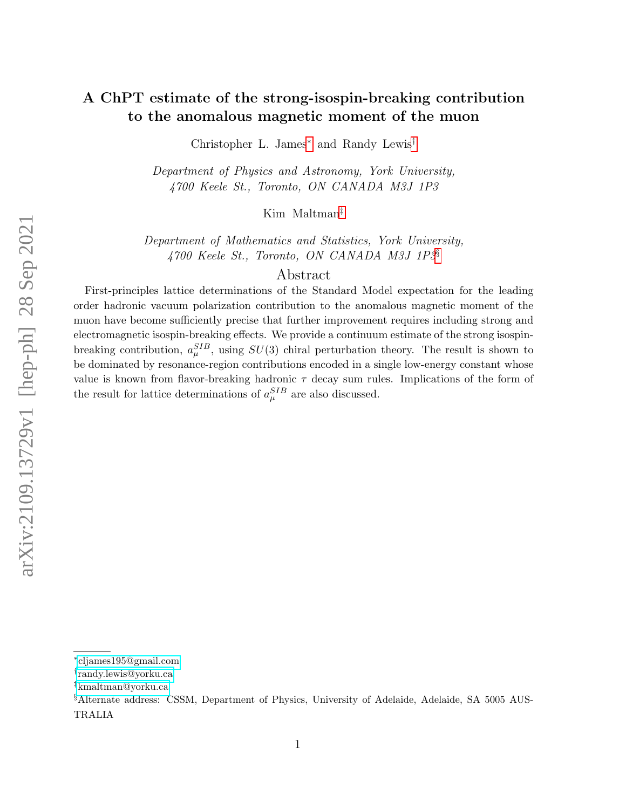# A ChPT estimate of the strong-isospin-breaking contribution to the anomalous magnetic moment of the muon

Christopher L. James[∗](#page-0-0) and Randy Lewis[†](#page-0-1)

Department of Physics and Astronomy, York University, 4700 Keele St., Toronto, ON CANADA M3J 1P3

Kim Maltman[‡](#page-0-2)

Department of Mathematics and Statistics, York University, 4700 Keele St., Toronto, ON CANADA M3J 1P3[§](#page-0-3)

#### Abstract

First-principles lattice determinations of the Standard Model expectation for the leading order hadronic vacuum polarization contribution to the anomalous magnetic moment of the muon have become sufficiently precise that further improvement requires including strong and electromagnetic isospin-breaking effects. We provide a continuum estimate of the strong isospinbreaking contribution,  $a_{\mu}^{SIB}$ , using  $SU(3)$  chiral perturbation theory. The result is shown to be dominated by resonance-region contributions encoded in a single low-energy constant whose value is known from flavor-breaking hadronic  $\tau$  decay sum rules. Implications of the form of the result for lattice determinations of  $a_{\mu}^{SIB}$  are also discussed.

<span id="page-0-1"></span><span id="page-0-0"></span><sup>∗</sup> [cljames195@gmail.com](mailto:cljames195@gmail.com)

<span id="page-0-2"></span><sup>†</sup> [randy.lewis@yorku.ca](mailto:randy.lewis@yorku.ca)

<span id="page-0-3"></span><sup>‡</sup>[kmaltman@yorku.ca](mailto:kmaltman@yorku.ca)

<sup>§</sup>Alternate address: CSSM, Department of Physics, University of Adelaide, Adelaide, SA 5005 AUS-TRALIA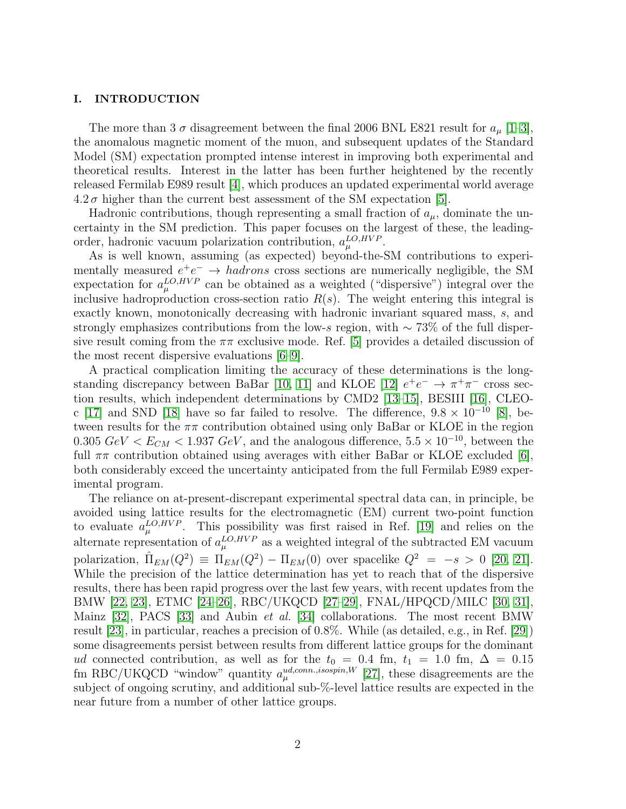#### I. INTRODUCTION

The more than 3  $\sigma$  disagreement between the final 2006 BNL E821 result for  $a_{\mu}$  [\[1–](#page-17-0)[3\]](#page-17-1), the anomalous magnetic moment of the muon, and subsequent updates of the Standard Model (SM) expectation prompted intense interest in improving both experimental and theoretical results. Interest in the latter has been further heightened by the recently released Fermilab E989 result [\[4\]](#page-17-2), which produces an updated experimental world average  $4.2\,\sigma$  higher than the current best assessment of the SM expectation [\[5\]](#page-17-3).

Hadronic contributions, though representing a small fraction of  $a<sub>u</sub>$ , dominate the uncertainty in the SM prediction. This paper focuses on the largest of these, the leadingorder, hadronic vacuum polarization contribution,  $a_{\mu}^{LO,HVP}$ .

As is well known, assuming (as expected) beyond-the-SM contributions to experimentally measured  $e^+e^- \rightarrow hadrons$  cross sections are numerically negligible, the SM expectation for  $a_{\mu}^{LO,HVP}$  can be obtained as a weighted ("dispersive") integral over the inclusive hadroproduction cross-section ratio  $R(s)$ . The weight entering this integral is exactly known, monotonically decreasing with hadronic invariant squared mass, s, and strongly emphasizes contributions from the low-s region, with ∼ 73% of the full dispersive result coming from the  $\pi\pi$  exclusive mode. Ref. [\[5\]](#page-17-3) provides a detailed discussion of the most recent dispersive evaluations [\[6](#page-17-4)[–9\]](#page-18-0).

A practical complication limiting the accuracy of these determinations is the long-standing discrepancy between BaBar [\[10,](#page-18-1) [11\]](#page-18-2) and KLOE [\[12\]](#page-18-3)  $e^+e^- \rightarrow \pi^+\pi^-$  cross section results, which independent determinations by CMD2 [\[13–](#page-18-4)[15\]](#page-18-5), BESIII [\[16\]](#page-18-6), CLEO-c [\[17\]](#page-18-7) and SND [\[18\]](#page-18-8) have so far failed to resolve. The difference,  $9.8 \times 10^{-10}$  [\[8\]](#page-18-9), between results for the  $\pi\pi$  contribution obtained using only BaBar or KLOE in the region 0.305  $GeV < E_{CM} < 1.937$   $GeV$ , and the analogous difference,  $5.5 \times 10^{-10}$ , between the full  $\pi\pi$  contribution obtained using averages with either BaBar or KLOE excluded [\[6\]](#page-17-4), both considerably exceed the uncertainty anticipated from the full Fermilab E989 experimental program.

The reliance on at-present-discrepant experimental spectral data can, in principle, be avoided using lattice results for the electromagnetic (EM) current two-point function to evaluate  $a_{\mu}^{LO,HVP}$ . This possibility was first raised in Ref. [\[19\]](#page-18-10) and relies on the alternate representation of  $a_{\mu}^{LO,HVP}$  as a weighted integral of the subtracted EM vacuum polarization,  $\hat{\Pi}_{EM}(Q^2) \equiv \Pi_{EM}(Q^2) - \Pi_{EM}(0)$  over spacelike  $Q^2 = -s > 0$  [\[20,](#page-18-11) [21\]](#page-18-12). While the precision of the lattice determination has yet to reach that of the dispersive results, there has been rapid progress over the last few years, with recent updates from the BMW [\[22,](#page-18-13) [23\]](#page-18-14), ETMC [\[24](#page-18-15)[–26\]](#page-18-16), RBC/UKQCD [\[27](#page-18-17)[–29\]](#page-18-18), FNAL/HPQCD/MILC [\[30,](#page-18-19) [31\]](#page-18-20), Mainz [\[32\]](#page-18-21), PACS [\[33\]](#page-18-22) and Aubin *et al.* [\[34\]](#page-18-23) collaborations. The most recent BMW result [\[23\]](#page-18-14), in particular, reaches a precision of 0.8%. While (as detailed, e.g., in Ref. [\[29\]](#page-18-18)) some disagreements persist between results from different lattice groups for the dominant ud connected contribution, as well as for the  $t_0 = 0.4$  fm,  $t_1 = 1.0$  fm,  $\Delta = 0.15$ fm RBC/UKQCD "window" quantity  $a_{\mu}^{ud,conn.,isospin,W}$  [\[27\]](#page-18-17), these disagreements are the subject of ongoing scrutiny, and additional sub-%-level lattice results are expected in the near future from a number of other lattice groups.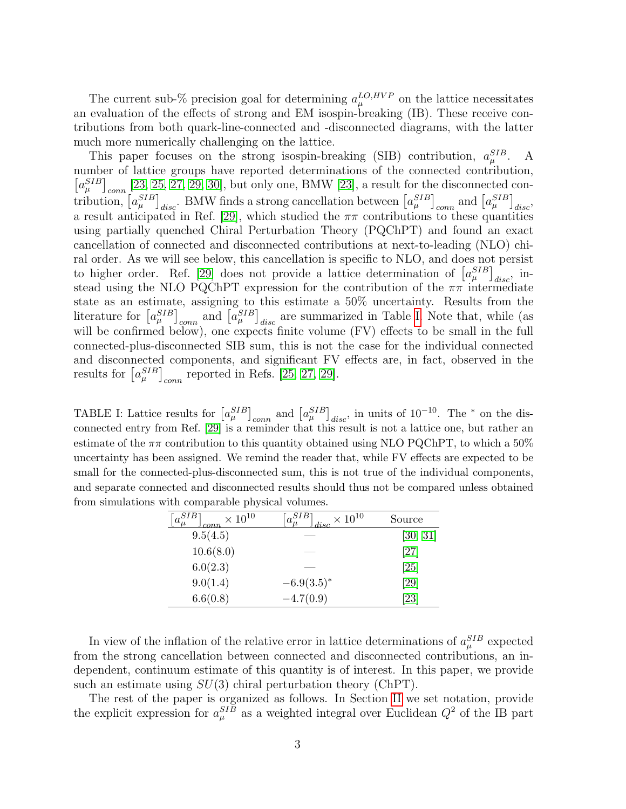The current sub-% precision goal for determining  $a_{\mu}^{LO,HVP}$  on the lattice necessitates an evaluation of the effects of strong and EM isospin-breaking (IB). These receive contributions from both quark-line-connected and -disconnected diagrams, with the latter much more numerically challenging on the lattice.

This paper focuses on the strong isospin-breaking (SIB) contribution,  $a_{\mu}^{SIB}$ . A number of lattice groups have reported determinations of the connected contribution,  $[a_{\mu}^{SIB}]_{conn}$  [\[23,](#page-18-14) [25,](#page-18-24) [27,](#page-18-17) [29,](#page-18-18) [30\]](#page-18-19), but only one, BMW [\[23\]](#page-18-14), a result for the disconnected contribution,  $[a_\mu^{SIB}]_{disc}$ . BMW finds a strong cancellation between  $[a_\mu^{SIB}]_{conn}$  and  $[a_\mu^{SIB}]_{disc}$ , a result anticipated in Ref. [\[29\]](#page-18-18), which studied the  $\pi\pi$  contributions to these quantities using partially quenched Chiral Perturbation Theory (PQChPT) and found an exact cancellation of connected and disconnected contributions at next-to-leading (NLO) chiral order. As we will see below, this cancellation is specific to NLO, and does not persist to higher order. Ref. [\[29\]](#page-18-18) does not provide a lattice determination of  $[a_\mu^{SIB}]_{disc}$ , instead using the NLO PQChPT expression for the contribution of the  $\pi\pi$  intermediate state as an estimate, assigning to this estimate a 50% uncertainty. Results from the literature for  $\left[a_{\mu}^{SIB}\right]_{conn}$  and  $\left[a_{\mu}^{SIB}\right]_{disc}$  are summarized in Table [I.](#page-2-0) Note that, while (as will be confirmed below), one expects finite volume (FV) effects to be small in the full connected-plus-disconnected SIB sum, this is not the case for the individual connected and disconnected components, and significant FV effects are, in fact, observed in the results for  $[a_\mu^{SIB}]_{conn}$  reported in Refs. [\[25,](#page-18-24) [27,](#page-18-17) [29\]](#page-18-18).

<span id="page-2-0"></span>TABLE I: Lattice results for  $[a_\mu^{SIB}]_{conn}$  and  $[a_\mu^{SIB}]_{disc}$ , in units of 10<sup>-10</sup>. The  $^*$  on the disconnected entry from Ref. [\[29\]](#page-18-18) is a reminder that this result is not a lattice one, but rather an estimate of the  $\pi\pi$  contribution to this quantity obtained using NLO PQChPT, to which a 50% uncertainty has been assigned. We remind the reader that, while FV effects are expected to be small for the connected-plus-disconnected sum, this is not true of the individual components, and separate connected and disconnected results should thus not be compared unless obtained from simulations with comparable physical volumes.

| $\times$ 10 <sup>10</sup><br>conn | $+a^{SIB}$<br>$\times$ 10 <sup>10</sup><br>disc | Source             |
|-----------------------------------|-------------------------------------------------|--------------------|
| 9.5(4.5)                          |                                                 | [30, 31]           |
| 10.6(8.0)                         |                                                 | $\left[ 27\right]$ |
| 6.0(2.3)                          |                                                 | $\left[ 25\right]$ |
| 9.0(1.4)                          | $-6.9(3.5)^{*}$                                 | $\left[ 29\right]$ |
| 6.6(0.8)                          | $-4.7(0.9)$                                     | $\left[ 23\right]$ |

In view of the inflation of the relative error in lattice determinations of  $a_{\mu}^{SIB}$  expected from the strong cancellation between connected and disconnected contributions, an independent, continuum estimate of this quantity is of interest. In this paper, we provide such an estimate using  $SU(3)$  chiral perturbation theory (ChPT).

The rest of the paper is organized as follows. In Section [II](#page-3-0) we set notation, provide the explicit expression for  $a_{\mu}^{SIB}$  as a weighted integral over Euclidean  $Q^2$  of the IB part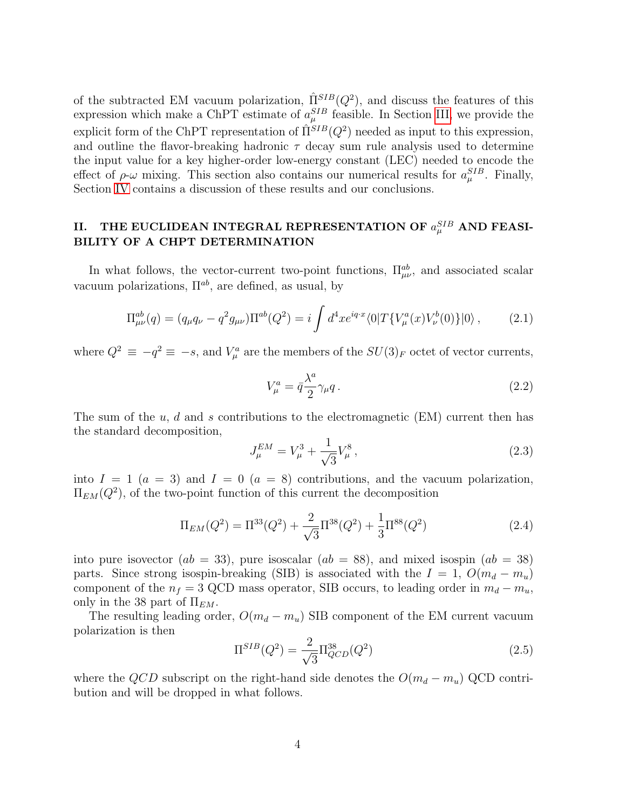of the subtracted EM vacuum polarization,  $\hat{\Pi}^{SIB}(Q^2)$ , and discuss the features of this expression which make a ChPT estimate of  $a_{\mu}^{SIB}$  feasible. In Section [III,](#page-8-0) we provide the explicit form of the ChPT representation of  $\hat{\Pi}^{SIB}(Q^2)$  needed as input to this expression, and outline the flavor-breaking hadronic  $\tau$  decay sum rule analysis used to determine the input value for a key higher-order low-energy constant (LEC) needed to encode the effect of  $\rho$ - $\omega$  mixing. This section also contains our numerical results for  $a_{\mu}^{SIB}$ . Finally, Section [IV](#page-15-0) contains a discussion of these results and our conclusions.

### <span id="page-3-0"></span>II. THE EUCLIDEAN INTEGRAL REPRESENTATION OF  $a_\mu^{SIB}$  and FEASI-BILITY OF A CHPT DETERMINATION

In what follows, the vector-current two-point functions,  $\Pi_{\mu\nu}^{ab}$ , and associated scalar vacuum polarizations,  $\Pi^{ab}$ , are defined, as usual, by

$$
\Pi_{\mu\nu}^{ab}(q) = (q_{\mu}q_{\nu} - q^2 g_{\mu\nu})\Pi^{ab}(Q^2) = i \int d^4x e^{iq \cdot x} \langle 0|T\{V_{\mu}^a(x)V_{\nu}^b(0)\}|0\rangle, \qquad (2.1)
$$

where  $Q^2 \equiv -q^2 \equiv -s$ , and  $V^a_\mu$  are the members of the  $SU(3)_F$  octet of vector currents,

$$
V_{\mu}^{a} = \bar{q} \frac{\lambda^{a}}{2} \gamma_{\mu} q. \qquad (2.2)
$$

The sum of the  $u, d$  and s contributions to the electromagnetic (EM) current then has the standard decomposition,

$$
J_{\mu}^{EM} = V_{\mu}^3 + \frac{1}{\sqrt{3}} V_{\mu}^8 \,, \tag{2.3}
$$

into  $I = 1$   $(a = 3)$  and  $I = 0$   $(a = 8)$  contributions, and the vacuum polarization,  $\Pi_{EM}(Q^2)$ , of the two-point function of this current the decomposition

$$
\Pi_{EM}(Q^2) = \Pi^{33}(Q^2) + \frac{2}{\sqrt{3}}\Pi^{38}(Q^2) + \frac{1}{3}\Pi^{88}(Q^2)
$$
\n(2.4)

into pure isovector  $(ab = 33)$ , pure isoscalar  $(ab = 88)$ , and mixed isospin  $(ab = 38)$ parts. Since strong isospin-breaking (SIB) is associated with the  $I = 1, O(m_d - m_u)$ component of the  $n_f = 3$  QCD mass operator, SIB occurs, to leading order in  $m_d - m_u$ , only in the 38 part of  $\Pi_{EM}$ .

The resulting leading order,  $O(m_d - m_u)$  SIB component of the EM current vacuum polarization is then

$$
\Pi^{SIB}(Q^2) = \frac{2}{\sqrt{3}} \Pi_{QCD}^{38}(Q^2)
$$
\n(2.5)

where the QCD subscript on the right-hand side denotes the  $O(m_d - m_u)$  QCD contribution and will be dropped in what follows.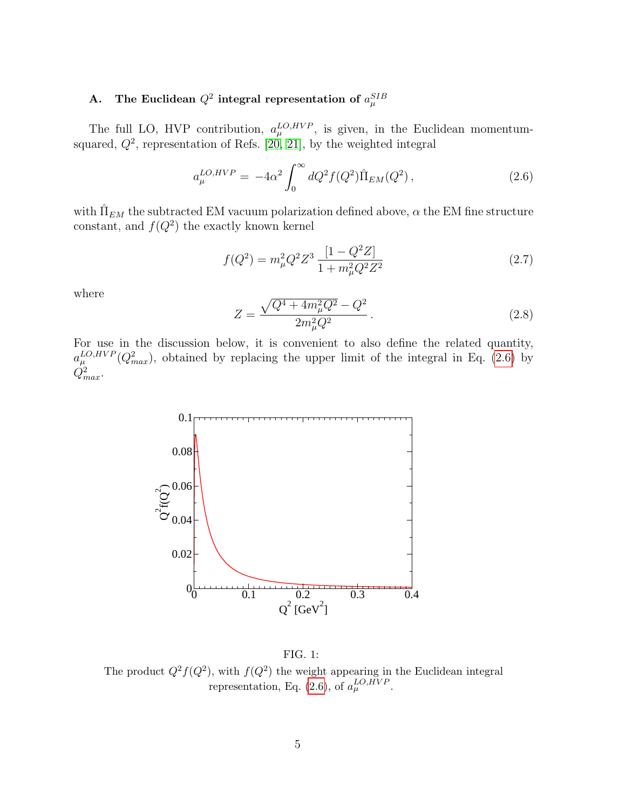# A. The Euclidean  $Q^2$  integral representation of  $a_\mu^{SIB}$

The full LO, HVP contribution,  $a_{\mu}^{LO,HVP}$ , is given, in the Euclidean momentumsquared,  $Q^2$ , representation of Refs. [\[20,](#page-18-11) [21\]](#page-18-12), by the weighted integral

<span id="page-4-0"></span>
$$
a_{\mu}^{LO,HVP} = -4\alpha^2 \int_0^{\infty} dQ^2 f(Q^2) \hat{\Pi}_{EM}(Q^2) , \qquad (2.6)
$$

with  $\hat{\Pi}_{EM}$  the subtracted EM vacuum polarization defined above,  $\alpha$  the EM fine structure constant, and  $f(Q^2)$  the exactly known kernel

$$
f(Q^2) = m_{\mu}^2 Q^2 Z^3 \frac{[1 - Q^2 Z]}{1 + m_{\mu}^2 Q^2 Z^2}
$$
\n(2.7)

where

$$
Z = \frac{\sqrt{Q^4 + 4m_\mu^2 Q^2} - Q^2}{2m_\mu^2 Q^2}.
$$
\n(2.8)

For use in the discussion below, it is convenient to also define the related quantity,  $a_{\mu}^{LO,HVP}(Q_{max}^2)$ , obtained by replacing the upper limit of the integral in Eq. [\(2.6\)](#page-4-0) by  $\dot{Q}^2_{max}$ .



<span id="page-4-1"></span>FIG. 1: The product  $Q^2 f(Q^2)$ , with  $f(Q^2)$  the weight appearing in the Euclidean integral representation, Eq. [\(2.6\)](#page-4-0), of  $a_{\mu}^{LO,HVP}$ .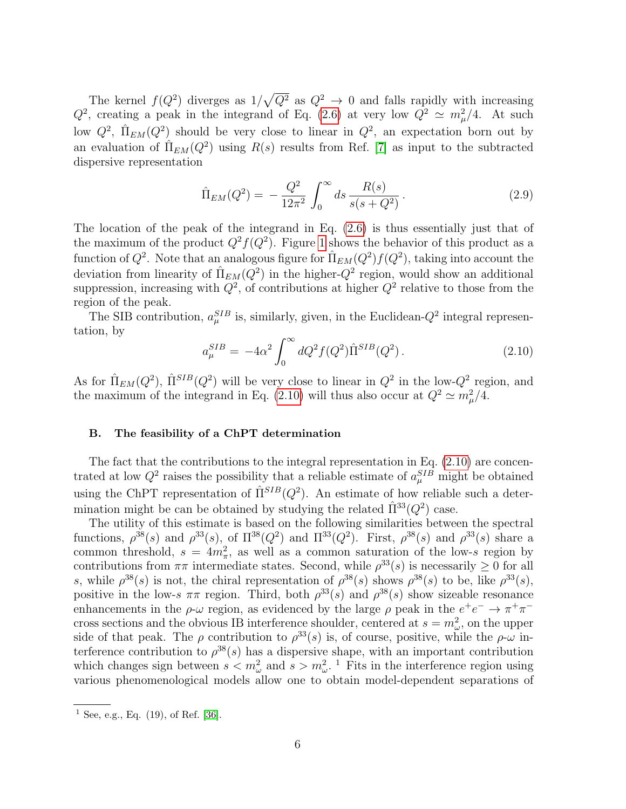The kernel  $f(Q^2)$  diverges as  $1/\sqrt{Q^2}$  as  $Q^2 \to 0$  and falls rapidly with increasing  $Q^2$ , creating a peak in the integrand of Eq. [\(2.6\)](#page-4-0) at very low  $Q^2 \simeq m_\mu^2/4$ . At such low  $Q^2$ ,  $\hat{\Pi}_{EM}(Q^2)$  should be very close to linear in  $Q^2$ , an expectation born out by an evaluation of  $\hat{\Pi}_{EM}(Q^2)$  using  $R(s)$  results from Ref. [\[7\]](#page-18-25) as input to the subtracted dispersive representation

<span id="page-5-1"></span>
$$
\hat{\Pi}_{EM}(Q^2) = -\frac{Q^2}{12\pi^2} \int_0^\infty ds \frac{R(s)}{s(s+Q^2)}.
$$
\n(2.9)

The location of the peak of the integrand in Eq. [\(2.6\)](#page-4-0) is thus essentially just that of the maximum of the product  $Q^2 f(Q^2)$ . Figure [1](#page-4-1) shows the behavior of this product as a function of  $Q^2$ . Note that an analogous figure for  $\hat{\Pi}_{EM}(Q^2)f(Q^2)$ , taking into account the deviation from linearity of  $\hat{\Pi}_{EM}(Q^2)$  in the higher- $Q^2$  region, would show an additional suppression, increasing with  $Q^2$ , of contributions at higher  $Q^2$  relative to those from the region of the peak.

The SIB contribution,  $a_{\mu}^{SIB}$  is, similarly, given, in the Euclidean- $Q^2$  integral representation, by

<span id="page-5-0"></span>
$$
a_{\mu}^{SIB} = -4\alpha^2 \int_0^{\infty} dQ^2 f(Q^2) \hat{\Pi}^{SIB}(Q^2).
$$
 (2.10)

As for  $\hat{\Pi}_{EM}(Q^2)$ ,  $\hat{\Pi}^{SIB}(Q^2)$  will be very close to linear in  $Q^2$  in the low- $Q^2$  region, and the maximum of the integrand in Eq. [\(2.10\)](#page-5-0) will thus also occur at  $Q^2 \simeq m_\mu^2/4$ .

#### B. The feasibility of a ChPT determination

The fact that the contributions to the integral representation in Eq.  $(2.10)$  are concentrated at low  $Q^2$  raises the possibility that a reliable estimate of  $a_\mu^{SIB}$  might be obtained using the ChPT representation of  $\hat{\Pi}^{SIB}(Q^2)$ . An estimate of how reliable such a determination might be can be obtained by studying the related  $\hat{\Pi}^{33}(Q^2)$  case.

The utility of this estimate is based on the following similarities between the spectral functions,  $\rho^{38}(s)$  and  $\rho^{33}(s)$ , of  $\Pi^{38}(Q^2)$  and  $\Pi^{33}(Q^2)$ . First,  $\rho^{38}(s)$  and  $\rho^{33}(s)$  share a common threshold,  $s = 4m_{\pi}^2$ , as well as a common saturation of the low-s region by contributions from  $\pi\pi$  intermediate states. Second, while  $\rho^{33}(s)$  is necessarily  $\geq 0$  for all s, while  $\rho^{38}(s)$  is not, the chiral representation of  $\rho^{38}(s)$  shows  $\rho^{38}(s)$  to be, like  $\rho^{33}(s)$ , positive in the low-s  $\pi\pi$  region. Third, both  $\rho^{33}(s)$  and  $\rho^{38}(s)$  show sizeable resonance enhancements in the  $\rho$ - $\omega$  region, as evidenced by the large  $\rho$  peak in the  $e^+e^- \to \pi^+\pi^$ cross sections and the obvious IB interference shoulder, centered at  $s = m_{\omega}^2$ , on the upper side of that peak. The  $\rho$  contribution to  $\rho^{33}(s)$  is, of course, positive, while the  $\rho$ - $\omega$  interference contribution to  $\rho^{38}(s)$  has a dispersive shape, with an important contribution which changes sign between  $s < m_{\omega}^2$  and  $s > m_{\omega}^2$ .<sup>1</sup> Fits in the interference region using various phenomenological models allow one to obtain model-dependent separations of

<sup>&</sup>lt;sup>1</sup> See, e.g., Eq.  $(19)$ , of Ref. [\[36\]](#page-18-26).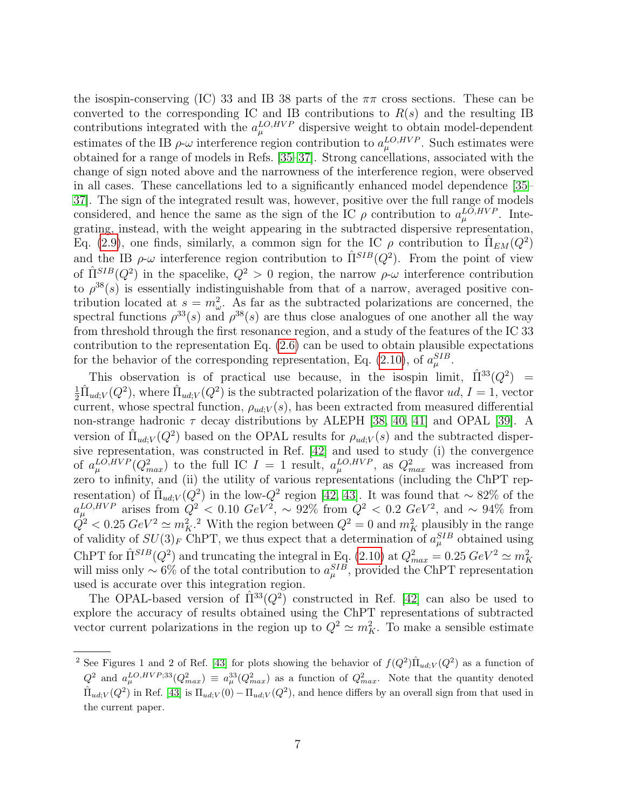the isospin-conserving (IC) 33 and IB 38 parts of the  $\pi\pi$  cross sections. These can be converted to the corresponding IC and IB contributions to  $R(s)$  and the resulting IB contributions integrated with the  $a_{\mu}^{LO,HVP}$  dispersive weight to obtain model-dependent estimates of the IB  $\rho$ - $\omega$  interference region contribution to  $a_{\mu}^{LO,HVP}$ . Such estimates were obtained for a range of models in Refs. [\[35–](#page-18-27)[37\]](#page-18-28). Strong cancellations, associated with the change of sign noted above and the narrowness of the interference region, were observed in all cases. These cancellations led to a significantly enhanced model dependence [\[35–](#page-18-27) [37\]](#page-18-28). The sign of the integrated result was, however, positive over the full range of models considered, and hence the same as the sign of the IC  $\rho$  contribution to  $a_{\mu}^{LO,HVP}$ . Integrating, instead, with the weight appearing in the subtracted dispersive representation, Eq. [\(2.9\)](#page-5-1), one finds, similarly, a common sign for the IC  $\rho$  contribution to  $\hat{\Pi}_{EM}(Q^2)$ and the IB  $\rho$ - $\omega$  interference region contribution to  $\hat{\Pi}^{SIB}(Q^2)$ . From the point of view of  $\hat{\Pi}^{SIB}(Q^2)$  in the spacelike,  $Q^2 > 0$  region, the narrow  $\rho$ - $\omega$  interference contribution to  $\rho^{38}(s)$  is essentially indistinguishable from that of a narrow, averaged positive contribution located at  $s = m_{\omega}^2$ . As far as the subtracted polarizations are concerned, the spectral functions  $\rho^{33}(s)$  and  $\rho^{38}(s)$  are thus close analogues of one another all the way from threshold through the first resonance region, and a study of the features of the IC 33 contribution to the representation Eq. [\(2.6\)](#page-4-0) can be used to obtain plausible expectations for the behavior of the corresponding representation, Eq. [\(2.10\)](#page-5-0), of  $a_{\mu}^{SIB}$ .

This observation is of practical use because, in the isospin limit,  $\overline{\Pi}^{33}(Q^2)$  $\equiv$  $\frac{1}{2}\hat{\Pi}_{ud;V}(Q^2)$ , where  $\hat{\Pi}_{ud;V}(Q^2)$  is the subtracted polarization of the flavor  $ud, I = 1$ , vector current, whose spectral function,  $\rho_{ud;V}(s)$ , has been extracted from measured differential non-strange hadronic  $\tau$  decay distributions by ALEPH [\[38,](#page-19-0) [40,](#page-19-1) [41\]](#page-19-2) and OPAL [\[39\]](#page-19-3). A version of  $\hat{\Pi}_{ud;V}(Q^2)$  based on the OPAL results for  $\rho_{ud;V}(s)$  and the subtracted dispersive representation, was constructed in Ref. [\[42\]](#page-19-4) and used to study (i) the convergence of  $a_{\mu}^{LO,HVP}(Q_{max}^2)$  to the full IC  $I = 1$  result,  $a_{\mu}^{LO,HVP}$ , as  $Q_{max}^2$  was increased from zero to infinity, and (ii) the utility of various representations (including the ChPT representation) of  $\hat{\Pi}_{ud;V}(Q^2)$  in the low- $Q^2$  region [\[42,](#page-19-4) [43\]](#page-19-5). It was found that ~ 82% of the  $a_{\mu}^{LO,HVP}$  arises from  $Q^2$  < 0.10  $GeV^2$ , ~ 92% from  $Q^2$  < 0.2  $GeV^2$ , and ~ 94% from  $Q^2 < 0.25 \; GeV^2 \simeq m_K^2$ <sup>2</sup>. With the region between  $Q^2 = 0$  and  $m_K^2$  plausibly in the range of validity of  $SU(3)_F$  ChPT, we thus expect that a determination of  $a_\mu^{SIB}$  obtained using ChPT for  $\hat{\Pi}^{SIB}(Q^2)$  and truncating the integral in Eq. [\(2.10\)](#page-5-0) at  $Q_{max}^2 = 0.25 \ GeV^2 \simeq m_K^2$  will miss only ~ 6% of the total contribution to  $a_{\mu}^{SIB}$ , provided the ChPT representation used is accurate over this integration region.

The OPAL-based version of  $\hat{\Pi}^{33}(Q^2)$  constructed in Ref. [\[42\]](#page-19-4) can also be used to explore the accuracy of results obtained using the ChPT representations of subtracted vector current polarizations in the region up to  $Q^2 \simeq m_K^2$ . To make a sensible estimate

<sup>&</sup>lt;sup>2</sup> See Figures 1 and 2 of Ref. [\[43\]](#page-19-5) for plots showing the behavior of  $f(Q^2) \hat{\Pi}_{ud;V}(Q^2)$  as a function of  $Q^2$  and  $a_\mu^{LO,HVP;33}(Q_{max}^2) \equiv a_\mu^{33}(Q_{max}^2)$  as a function of  $Q_{max}^2$ . Note that the quantity denoted  $\hat{\Pi}_{ud;V}(Q^2)$  in Ref. [\[43\]](#page-19-5) is  $\Pi_{ud;V}(0) - \Pi_{ud;V}(Q^2)$ , and hence differs by an overall sign from that used in the current paper.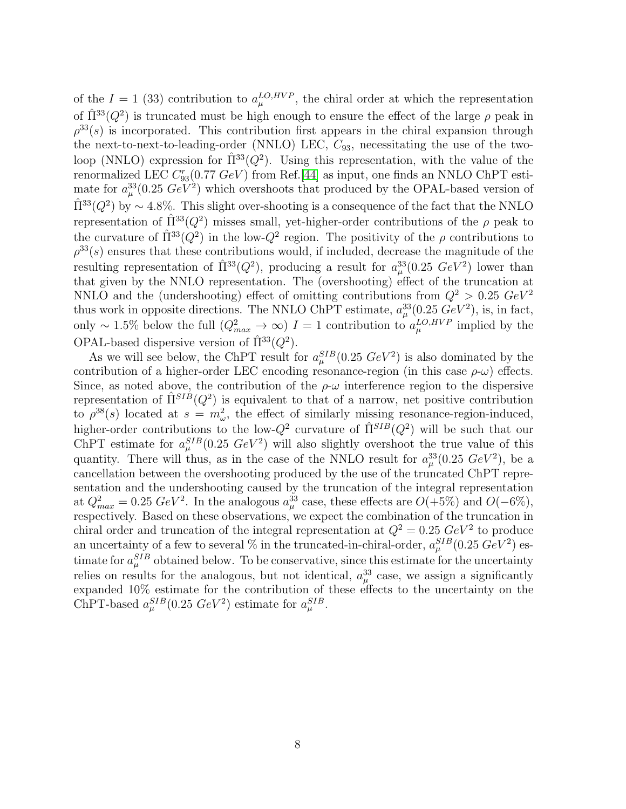of the  $I = 1$  (33) contribution to  $a_{\mu}^{LO,HVP}$ , the chiral order at which the representation of  $\hat{\Pi}^{33}(Q^2)$  is truncated must be high enough to ensure the effect of the large  $\rho$  peak in  $\rho^{33}(s)$  is incorporated. This contribution first appears in the chiral expansion through the next-to-next-to-leading-order (NNLO) LEC,  $C_{93}$ , necessitating the use of the twoloop (NNLO) expression for  $\hat{\Pi}^{33}(Q^2)$ . Using this representation, with the value of the renormalized LEC  $C_{93}^r(0.77 \text{ GeV})$  from Ref.[\[44\]](#page-19-6) as input, one finds an NNLO ChPT estimate for  $a_{\mu}^{33}(0.25 \ GeV^2)$  which overshoots that produced by the OPAL-based version of  $\hat{\Pi}^{33}(Q^2)$  by ~ 4.8%. This slight over-shooting is a consequence of the fact that the NNLO representation of  $\hat{\Pi}^{33}(Q^2)$  misses small, yet-higher-order contributions of the  $\rho$  peak to the curvature of  $\hat{\Pi}^{33}(Q^2)$  in the low- $Q^2$  region. The positivity of the  $\rho$  contributions to  $\rho^{33}(s)$  ensures that these contributions would, if included, decrease the magnitude of the resulting representation of  $\hat{\Pi}^{33}(Q^2)$ , producing a result for  $a_\mu^{33}(0.25 \ GeV^2)$  lower than that given by the NNLO representation. The (overshooting) effect of the truncation at NNLO and the (undershooting) effect of omitting contributions from  $Q^2 > 0.25 \ GeV^2$ thus work in opposite directions. The NNLO ChPT estimate,  $a_{\mu}^{33}(0.25 \ GeV^2)$ , is, in fact, only ~ 1.5% below the full  $(Q_{max}^2 \rightarrow \infty) I = 1$  contribution to  $a_{\mu}^{LO,HVP}$  implied by the OPAL-based dispersive version of  $\hat{\Pi}^{33}(Q^2)$ .

As we will see below, the ChPT result for  $a_\mu^{SIB}(0.25 \ GeV^2)$  is also dominated by the contribution of a higher-order LEC encoding resonance-region (in this case  $\rho-\omega$ ) effects. Since, as noted above, the contribution of the  $\rho-\omega$  interference region to the dispersive representation of  $\hat{\Pi}^{SIB}(Q^2)$  is equivalent to that of a narrow, net positive contribution to  $\rho^{38}(s)$  located at  $s = m_{\omega}^2$ , the effect of similarly missing resonance-region-induced, higher-order contributions to the low- $Q^2$  curvature of  $\hat{\Pi}^{SIB}(Q^2)$  will be such that our ChPT estimate for  $a_\mu^{SIB}(0.25 \ GeV^2)$  will also slightly overshoot the true value of this quantity. There will thus, as in the case of the NNLO result for  $a_\mu^{33}(0.25 \ GeV^2)$ , be a cancellation between the overshooting produced by the use of the truncated ChPT representation and the undershooting caused by the truncation of the integral representation at  $Q_{max}^2 = 0.25 \ GeV^2$ . In the analogous  $a_{\mu}^{33}$  case, these effects are  $O(+5\%)$  and  $O(-6\%)$ , respectively. Based on these observations, we expect the combination of the truncation in chiral order and truncation of the integral representation at  $Q^2 = 0.25 \; GeV^2$  to produce an uncertainty of a few to several % in the truncated-in-chiral-order,  $a_{\mu}^{SIB}(0.25 \ GeV^2)$  estimate for  $a_{\mu}^{SIB}$  obtained below. To be conservative, since this estimate for the uncertainty relies on results for the analogous, but not identical,  $a_{\mu}^{33}$  case, we assign a significantly expanded 10% estimate for the contribution of these effects to the uncertainty on the ChPT-based  $a_\mu^{SIB}(0.25 \ GeV^2)$  estimate for  $a_\mu^{SIB}$ .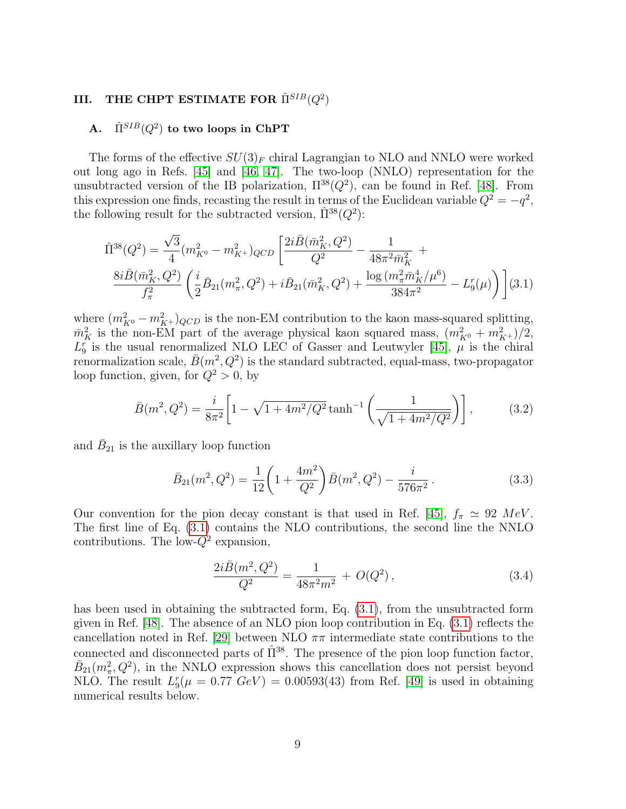## <span id="page-8-0"></span>III. THE CHPT ESTIMATE FOR  $\hat{\Pi}^{SIB}(Q^2)$

## A.  $\hat{\Pi}^{SIB}(Q^2)$  to two loops in ChPT

The forms of the effective  $SU(3)<sub>F</sub>$  chiral Lagrangian to NLO and NNLO were worked out long ago in Refs. [\[45\]](#page-19-7) and [\[46,](#page-19-8) [47\]](#page-19-9). The two-loop (NNLO) representation for the unsubtracted version of the IB polarization,  $\Pi^{38}(Q^2)$ , can be found in Ref. [\[48\]](#page-19-10). From this expression one finds, recasting the result in terms of the Euclidean variable  $Q^2 = -q^2$ , the following result for the subtracted version,  $\hat{\Pi}^{38}(Q^2)$ :

<span id="page-8-1"></span>
$$
\hat{\Pi}^{38}(Q^2) = \frac{\sqrt{3}}{4} (m_{K^0}^2 - m_{K^+}^2)_{QCD} \left[ \frac{2i\bar{B}(\bar{m}_K^2, Q^2)}{Q^2} - \frac{1}{48\pi^2 \bar{m}_K^2} + \frac{8i\bar{B}(\bar{m}_K^2, Q^2)}{f_\pi^2} \left( \frac{i}{2} \bar{B}_{21}(m_\pi^2, Q^2) + i\bar{B}_{21}(\bar{m}_K^2, Q^2) + \frac{\log (m_\pi^2 \bar{m}_K^4/\mu^6)}{384\pi^2} - L_9^r(\mu) \right) \right]
$$
(3.1)

where  $(m_{K^0}^2 - m_{K^+}^2)_{QCD}$  is the non-EM contribution to the kaon mass-squared splitting,  $\bar{m}_K^2$  is the non-EM part of the average physical kaon squared mass,  $(m_{K^0}^2 + m_{K^+}^2)/2$ ,  $L_9^r$  is the usual renormalized NLO LEC of Gasser and Leutwyler [\[45\]](#page-19-7),  $\mu$  is the chiral renormalization scale,  $\bar{B}(m^2, Q^2)$  is the standard subtracted, equal-mass, two-propagator loop function, given, for  $Q^2 > 0$ , by

$$
\bar{B}(m^2, Q^2) = \frac{i}{8\pi^2} \left[ 1 - \sqrt{1 + 4m^2/Q^2} \tanh^{-1} \left( \frac{1}{\sqrt{1 + 4m^2/Q^2}} \right) \right],\tag{3.2}
$$

and  $\bar{B}_{21}$  is the auxillary loop function

$$
\bar{B}_{21}(m^2, Q^2) = \frac{1}{12} \left( 1 + \frac{4m^2}{Q^2} \right) \bar{B}(m^2, Q^2) - \frac{i}{576\pi^2} \,. \tag{3.3}
$$

Our convention for the pion decay constant is that used in Ref. [\[45\]](#page-19-7),  $f_{\pi} \simeq 92$  MeV. The first line of Eq. [\(3.1\)](#page-8-1) contains the NLO contributions, the second line the NNLO contributions. The low- $Q^2$  expansion,

$$
\frac{2i\bar{B}(m^2, Q^2)}{Q^2} = \frac{1}{48\pi^2 m^2} + O(Q^2),\tag{3.4}
$$

has been used in obtaining the subtracted form, Eq. [\(3.1\)](#page-8-1), from the unsubtracted form given in Ref. [\[48\]](#page-19-10). The absence of an NLO pion loop contribution in Eq. [\(3.1\)](#page-8-1) reflects the cancellation noted in Ref. [\[29\]](#page-18-18) between NLO  $\pi\pi$  intermediate state contributions to the connected and disconnected parts of  $\hat{\Pi}^{38}$ . The presence of the pion loop function factor,  $\bar{B}_{21}(m_\pi^2, Q^2)$ , in the NNLO expression shows this cancellation does not persist beyond NLO. The result  $L_9^r(\mu = 0.77 \ GeV) = 0.00593(43)$  from Ref. [\[49\]](#page-19-11) is used in obtaining numerical results below.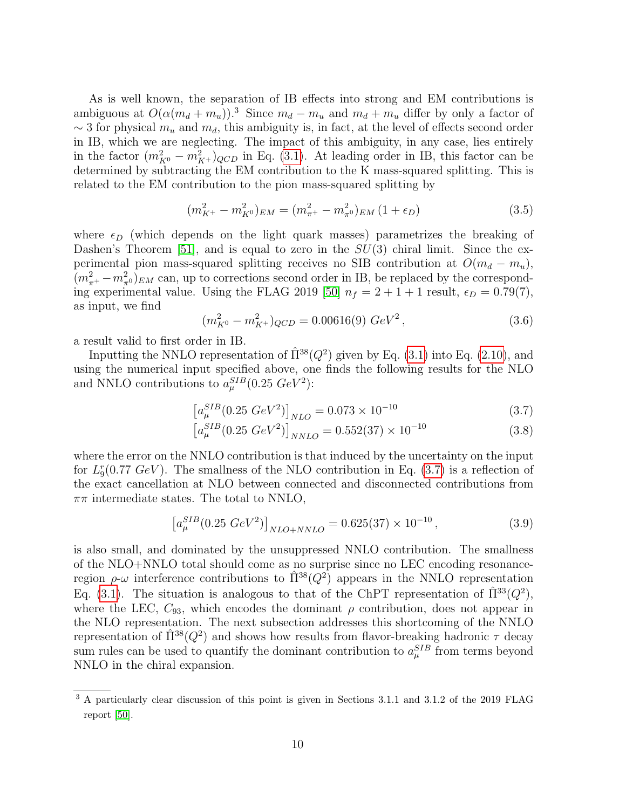As is well known, the separation of IB effects into strong and EM contributions is ambiguous at  $O(\alpha(m_d + m_u))$ .<sup>3</sup> Since  $m_d - m_u$  and  $m_d + m_u$  differ by only a factor of  $\sim$  3 for physical  $m_u$  and  $m_d$ , this ambiguity is, in fact, at the level of effects second order in IB, which we are neglecting. The impact of this ambiguity, in any case, lies entirely in the factor  $(m_{K^0}^2 - m_{K^+}^2)_{QCD}$  in Eq. [\(3.1\)](#page-8-1). At leading order in IB, this factor can be determined by subtracting the EM contribution to the K mass-squared splitting. This is related to the EM contribution to the pion mass-squared splitting by

$$
(m_{K^{+}}^{2} - m_{K^{0}}^{2})_{EM} = (m_{\pi^{+}}^{2} - m_{\pi^{0}}^{2})_{EM} (1 + \epsilon_{D})
$$
\n(3.5)

where  $\epsilon_D$  (which depends on the light quark masses) parametrizes the breaking of Dashen's Theorem [\[51\]](#page-19-12), and is equal to zero in the  $SU(3)$  chiral limit. Since the experimental pion mass-squared splitting receives no SIB contribution at  $O(m_d - m_u)$ ,  $(m_{\pi^+}^2 - m_{\pi^0})_{EM}$  can, up to corrections second order in IB, be replaced by the correspond-ing experimental value. Using the FLAG 2019 [\[50\]](#page-19-13)  $n_f = 2 + 1 + 1$  result,  $\epsilon_D = 0.79(7)$ , as input, we find

$$
(m_{K^0}^2 - m_{K^+}^2)_{QCD} = 0.00616(9) \ GeV^2 \,, \tag{3.6}
$$

a result valid to first order in IB.

Inputting the NNLO representation of  $\hat{\Pi}^{38}(Q^2)$  given by Eq. [\(3.1\)](#page-8-1) into Eq. [\(2.10\)](#page-5-0), and using the numerical input specified above, one finds the following results for the NLO and NNLO contributions to  $a_\mu^{SIB}(0.25 \ GeV^2)$ :

<span id="page-9-0"></span>
$$
\left[a_{\mu}^{SIB}(0.25 \ GeV^2)\right]_{NLO} = 0.073 \times 10^{-10} \tag{3.7}
$$

$$
\left[a_{\mu}^{SIB}(0.25 \ GeV^2)\right]_{NNLO} = 0.552(37) \times 10^{-10} \tag{3.8}
$$

where the error on the NNLO contribution is that induced by the uncertainty on the input for  $L_9^r(0.77 \text{ GeV})$ . The smallness of the NLO contribution in Eq. [\(3.7\)](#page-9-0) is a reflection of the exact cancellation at NLO between connected and disconnected contributions from  $\pi\pi$  intermediate states. The total to NNLO,

$$
\left[a_{\mu}^{SIB}(0.25\ GeV^2)\right]_{NLO+NNLO} = 0.625(37) \times 10^{-10},\tag{3.9}
$$

is also small, and dominated by the unsuppressed NNLO contribution. The smallness of the NLO+NNLO total should come as no surprise since no LEC encoding resonanceregion  $\rho$ -ω interference contributions to  $\hat{\Pi}^{38}(Q^2)$  appears in the NNLO representation Eq. [\(3.1\)](#page-8-1). The situation is analogous to that of the ChPT representation of  $\hat{\Pi}^{33}(Q^2)$ , where the LEC,  $C_{93}$ , which encodes the dominant  $\rho$  contribution, does not appear in the NLO representation. The next subsection addresses this shortcoming of the NNLO representation of  $\hat{\Pi}^{38}(Q^2)$  and shows how results from flavor-breaking hadronic  $\tau$  decay sum rules can be used to quantify the dominant contribution to  $a_{\mu}^{SIB}$  from terms beyond NNLO in the chiral expansion.

<sup>&</sup>lt;sup>3</sup> A particularly clear discussion of this point is given in Sections 3.1.1 and 3.1.2 of the 2019 FLAG report [\[50\]](#page-19-13).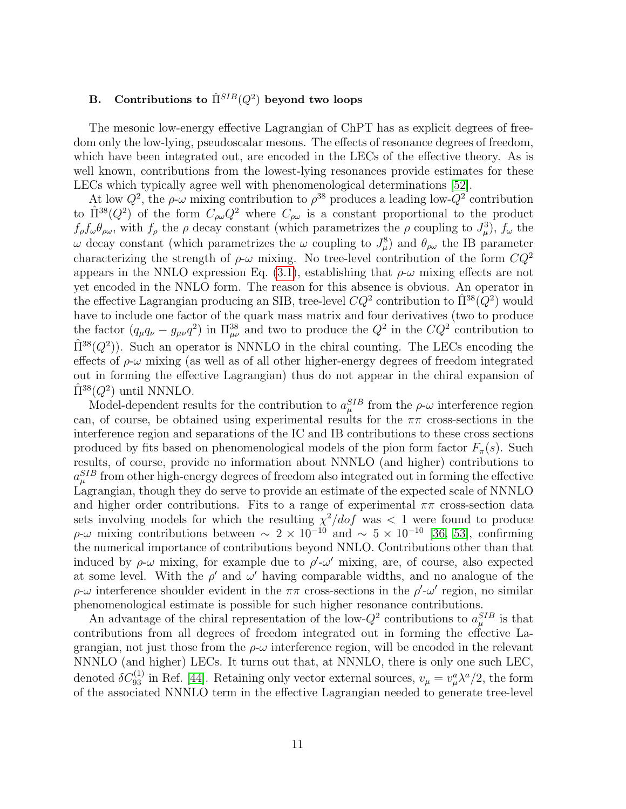## B. Contributions to  $\hat{\Pi}^{SIB}(Q^2)$  beyond two loops

The mesonic low-energy effective Lagrangian of ChPT has as explicit degrees of freedom only the low-lying, pseudoscalar mesons. The effects of resonance degrees of freedom, which have been integrated out, are encoded in the LECs of the effective theory. As is well known, contributions from the lowest-lying resonances provide estimates for these LECs which typically agree well with phenomenological determinations [\[52\]](#page-19-14).

At low  $Q^2$ , the  $\rho$ - $\omega$  mixing contribution to  $\rho^{38}$  produces a leading low- $Q^2$  contribution to  $\hat{\Pi}^{38}(Q^2)$  of the form  $C_{\rho\omega}Q^2$  where  $C_{\rho\omega}$  is a constant proportional to the product  $f_{\rho}f_{\omega}\theta_{\rho\omega}$ , with  $f_{\rho}$  the  $\rho$  decay constant (which parametrizes the  $\rho$  coupling to  $J_{\mu}^3$ ),  $f_{\omega}$  the  $ω$  decay constant (which parametrizes the  $ω$  coupling to  $J^8_μ$ ) and  $θ_{ρω}$  the IB parameter characterizing the strength of  $\rho-\omega$  mixing. No tree-level contribution of the form  $CQ^2$ appears in the NNLO expression Eq.  $(3.1)$ , establishing that  $\rho-\omega$  mixing effects are not yet encoded in the NNLO form. The reason for this absence is obvious. An operator in the effective Lagrangian producing an SIB, tree-level  $CQ^2$  contribution to  $\hat{\Pi}^{38}(\hat{Q}^2)$  would have to include one factor of the quark mass matrix and four derivatives (two to produce the factor  $(q_{\mu}q_{\nu}-g_{\mu\nu}q^2)$  in  $\Pi_{\mu\nu}^{38}$  and two to produce the  $Q^2$  in the  $CQ^2$  contribution to  $\hat{\Pi}^{38}(Q^2)$ ). Such an operator is NNNLO in the chiral counting. The LECs encoding the effects of  $\rho-\omega$  mixing (as well as of all other higher-energy degrees of freedom integrated out in forming the effective Lagrangian) thus do not appear in the chiral expansion of  $\hat{\Pi}^{38}(Q^2)$  until NNNLO.

Model-dependent results for the contribution to  $a_{\mu}^{SIB}$  from the  $\rho$ - $\omega$  interference region can, of course, be obtained using experimental results for the  $\pi\pi$  cross-sections in the interference region and separations of the IC and IB contributions to these cross sections produced by fits based on phenomenological models of the pion form factor  $F_{\pi}(s)$ . Such results, of course, provide no information about NNNLO (and higher) contributions to  $a_{\mu}^{SIB}$  from other high-energy degrees of freedom also integrated out in forming the effective Lagrangian, though they do serve to provide an estimate of the expected scale of NNNLO and higher order contributions. Fits to a range of experimental  $\pi\pi$  cross-section data sets involving models for which the resulting  $\chi^2/dof$  was  $\lt 1$  were found to produce  $ρ$ -ω mixing contributions between  $\sim 2 \times 10^{-10}$  and  $\sim 5 \times 10^{-10}$  [\[36,](#page-18-26) [53\]](#page-19-15), confirming the numerical importance of contributions beyond NNLO. Contributions other than that induced by  $\rho-\omega$  mixing, for example due to  $\rho'-\omega'$  mixing, are, of course, also expected at some level. With the  $\rho'$  and  $\omega'$  having comparable widths, and no analogue of the  $\rho$ -ω interference shoulder evident in the  $\pi\pi$  cross-sections in the  $\rho'$ -ω' region, no similar phenomenological estimate is possible for such higher resonance contributions.

An advantage of the chiral representation of the low- $Q^2$  contributions to  $a_{\mu}^{SIB}$  is that contributions from all degrees of freedom integrated out in forming the effective Lagrangian, not just those from the  $\rho-\omega$  interference region, will be encoded in the relevant NNNLO (and higher) LECs. It turns out that, at NNNLO, there is only one such LEC, denoted  $\delta C_{93}^{(1)}$  in Ref. [\[44\]](#page-19-6). Retaining only vector external sources,  $v_\mu = v_\mu^a \lambda^a/2$ , the form of the associated NNNLO term in the effective Lagrangian needed to generate tree-level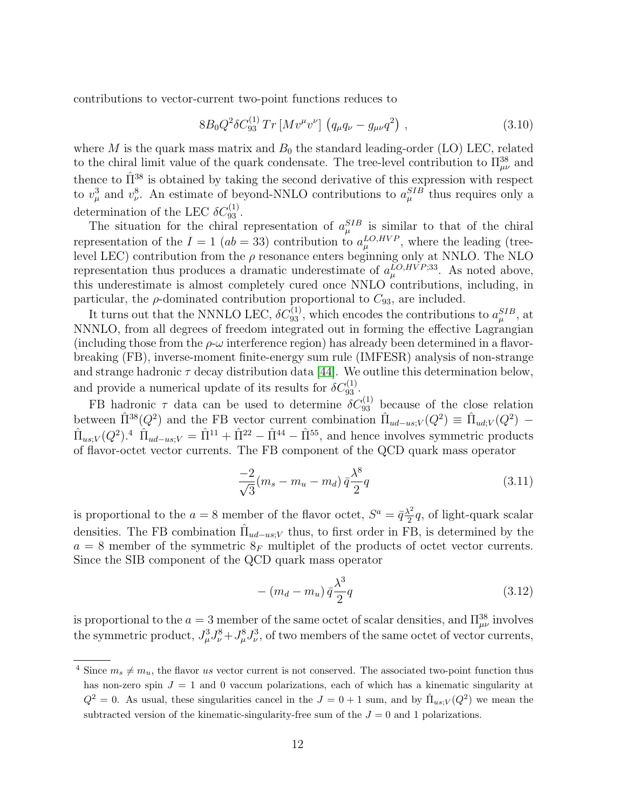contributions to vector-current two-point functions reduces to

<span id="page-11-0"></span>
$$
8B_0 Q^2 \delta C_{93}^{(1)} Tr \left[ M v^{\mu} v^{\nu} \right] \left( q_{\mu} q_{\nu} - g_{\mu\nu} q^2 \right) , \qquad (3.10)
$$

where M is the quark mass matrix and  $B_0$  the standard leading-order (LO) LEC, related to the chiral limit value of the quark condensate. The tree-level contribution to  $\Pi_{\mu\nu}^{38}$  and thence to  $\hat{\Pi}^{38}$  is obtained by taking the second derivative of this expression with respect to  $v_\mu^3$  and  $v_\nu^8$ . An estimate of beyond-NNLO contributions to  $a_\mu^{SIB}$  thus requires only a determination of the LEC  $\delta C_{93}^{(1)}$ .

The situation for the chiral representation of  $a_{\mu}^{SIB}$  is similar to that of the chiral representation of the  $I = 1$  (ab = 33) contribution to  $a_{\mu}^{LO,HVP}$ , where the leading (treelevel LEC) contribution from the  $\rho$  resonance enters beginning only at NNLO. The NLO representation thus produces a dramatic underestimate of  $a_{\mu}^{LO,HVP;33}$ . As noted above, this underestimate is almost completely cured once NNLO contributions, including, in particular, the  $\rho$ -dominated contribution proportional to  $C_{93}$ , are included.

It turns out that the NNNLO LEC,  $\delta C_{93}^{(1)}$ , which encodes the contributions to  $a_\mu^{SIB}$ , at NNNLO, from all degrees of freedom integrated out in forming the effective Lagrangian (including those from the  $\rho-\omega$  interference region) has already been determined in a flavorbreaking (FB), inverse-moment finite-energy sum rule (IMFESR) analysis of non-strange and strange hadronic  $\tau$  decay distribution data [\[44\]](#page-19-6). We outline this determination below, and provide a numerical update of its results for  $\delta C_{93}^{(1)}$ .

FB hadronic  $\tau$  data can be used to determine  $\delta C_{93}^{(1)}$  because of the close relation between  $\hat{\Pi}^{38}(Q^2)$  and the FB vector current combination  $\hat{\Pi}_{ud-us;V}(Q^2) \equiv \hat{\Pi}_{ud;V}(Q^2)$  –  $\hat{\Pi}_{us;V}(Q^2)$ .<sup>4</sup>  $\hat{\Pi}_{ud-us;V} = \hat{\Pi}^{11} + \hat{\Pi}^{22} - \hat{\Pi}^{44} - \hat{\Pi}^{55}$ , and hence involves symmetric products of flavor-octet vector currents. The FB component of the QCD quark mass operator

$$
\frac{-2}{\sqrt{3}}(m_s - m_u - m_d)\bar{q}\frac{\lambda^8}{2}q\tag{3.11}
$$

is proportional to the  $a = 8$  member of the flavor octet,  $S^a = \bar{q} \frac{\lambda^2}{2}$  $\frac{\lambda^2}{2}q$ , of light-quark scalar densities. The FB combination  $\hat{\Pi}_{ud-us;V}$  thus, to first order in FB, is determined by the  $a = 8$  member of the symmetric  $8_F$  multiplet of the products of octet vector currents. Since the SIB component of the QCD quark mass operator

$$
- (m_d - m_u) \bar{q} \frac{\lambda^3}{2} q \tag{3.12}
$$

is proportional to the  $a = 3$  member of the same octet of scalar densities, and  $\Pi_{\mu\nu}^{38}$  involves the symmetric product,  $J^3_\mu J^8_\nu + J^8_\mu J^3_\nu$ , of two members of the same octet of vector currents,

<sup>&</sup>lt;sup>4</sup> Since  $m_s \neq m_u$ , the flavor us vector current is not conserved. The associated two-point function thus has non-zero spin  $J = 1$  and 0 vaccum polarizations, each of which has a kinematic singularity at  $Q^2 = 0$ . As usual, these singularities cancel in the  $J = 0 + 1$  sum, and by  $\hat{\Pi}_{us;V}(Q^2)$  we mean the subtracted version of the kinematic-singularity-free sum of the  $J = 0$  and 1 polarizations.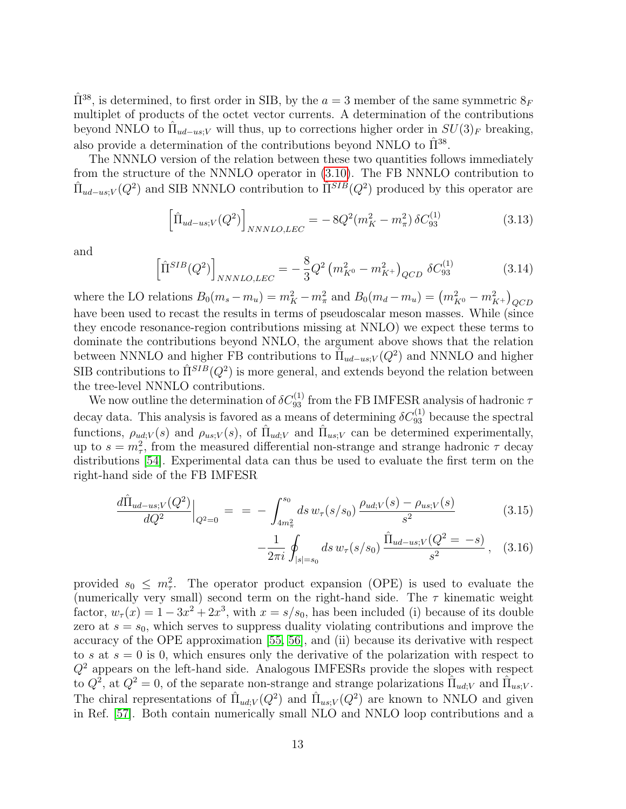$\hat{\Pi}^{38}$ , is determined, to first order in SIB, by the  $a = 3$  member of the same symmetric  $8_F$ multiplet of products of the octet vector currents. A determination of the contributions beyond NNLO to  $\hat{\Pi}_{ud-us;V}$  will thus, up to corrections higher order in  $SU(3)_F$  breaking, also provide a determination of the contributions beyond NNLO to  $\hat{\Pi}^{38}$ .

The NNNLO version of the relation between these two quantities follows immediately from the structure of the NNNLO operator in [\(3.10\)](#page-11-0). The FB NNNLO contribution to  $\hat{\Pi}_{ud-us;V}(Q^2)$  and SIB NNNLO contribution to  $\hat{\Pi}^{SIB}(Q^2)$  produced by this operator are

$$
\left[\hat{\Pi}_{ud-us;V}(Q^2)\right]_{NNNLO, LEC} = -8Q^2(m_K^2 - m_\pi^2)\,\delta C_{93}^{(1)}\tag{3.13}
$$

and

<span id="page-12-1"></span>
$$
\left[\hat{\Pi}^{SIB}(Q^2)\right]_{NNNLO, LEC} = -\frac{8}{3}Q^2 \left(m_{K^0}^2 - m_{K^+}^2\right)_{QCD} \delta C_{93}^{(1)} \tag{3.14}
$$

where the LO relations  $B_0(m_s - m_u) = m_K^2 - m_{\pi}^2$  and  $B_0(m_d - m_u) = (m_{K^0}^2 - m_{K^+}^2)_{QCD}$ have been used to recast the results in terms of pseudoscalar meson masses. While (since they encode resonance-region contributions missing at NNLO) we expect these terms to dominate the contributions beyond NNLO, the argument above shows that the relation between NNNLO and higher FB contributions to  $\tilde{\Pi}_{ud-us;V}(Q^2)$  and NNNLO and higher SIB contributions to  $\hat{\Pi}^{SIB}(Q^2)$  is more general, and extends beyond the relation between the tree-level NNNLO contributions.

We now outline the determination of  $\delta C_{93}^{(1)}$  from the FB IMFESR analysis of hadronic  $\tau$ decay data. This analysis is favored as a means of determining  $\delta C_{93}^{(1)}$  because the spectral functions,  $\rho_{ud;V}(s)$  and  $\rho_{us;V}(s)$ , of  $\hat{\Pi}_{ud;V}$  and  $\hat{\Pi}_{us;V}$  can be determined experimentally, up to  $s = m_\tau^2$ , from the measured differential non-strange and strange hadronic  $\tau$  decay distributions [\[54\]](#page-19-16). Experimental data can thus be used to evaluate the first term on the right-hand side of the FB IMFESR

<span id="page-12-0"></span>
$$
\frac{d\hat{\Pi}_{ud-us;V}(Q^2)}{dQ^2}\Big|_{Q^2=0} = -\int_{4m_{\pi}^2}^{s_0} ds \, w_{\tau}(s/s_0) \, \frac{\rho_{ud;V}(s) - \rho_{us;V}(s)}{s^2} \tag{3.15}
$$

$$
-\frac{1}{2\pi i} \oint_{|s|=s_0} ds \, w_\tau(s/s_0) \, \frac{\hat{\Pi}_{ud-us;V}(Q^2 = -s)}{s^2} \,, \quad (3.16)
$$

provided  $s_0 \n\t\leq m_\tau^2$ . The operator product expansion (OPE) is used to evaluate the (numerically very small) second term on the right-hand side. The  $\tau$  kinematic weight factor,  $w_{\tau}(x) = 1 - 3x^2 + 2x^3$ , with  $x = s/s_0$ , has been included (i) because of its double zero at  $s = s_0$ , which serves to suppress duality violating contributions and improve the accuracy of the OPE approximation [\[55,](#page-19-17) [56\]](#page-19-18), and (ii) because its derivative with respect to s at  $s = 0$  is 0, which ensures only the derivative of the polarization with respect to  $Q<sup>2</sup>$  appears on the left-hand side. Analogous IMFESRs provide the slopes with respect to  $Q^2$ , at  $Q^2 = 0$ , of the separate non-strange and strange polarizations  $\hat{\Pi}_{ud;V}$  and  $\hat{\Pi}_{us;V}$ . The chiral representations of  $\hat{\Pi}_{ud;V}(Q^2)$  and  $\hat{\Pi}_{us;V}(Q^2)$  are known to NNLO and given in Ref. [\[57\]](#page-19-19). Both contain numerically small NLO and NNLO loop contributions and a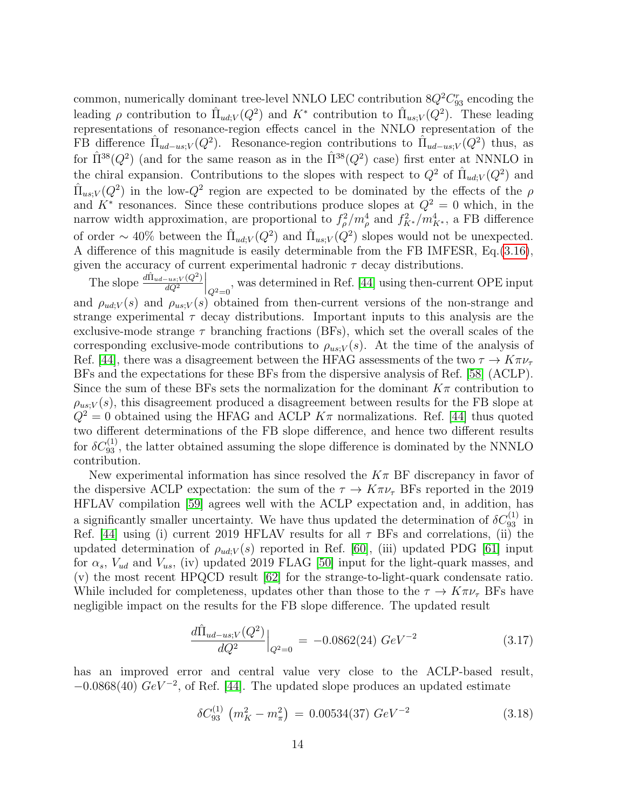common, numerically dominant tree-level NNLO LEC contribution  $8Q^2C_{93}^r$  encoding the leading  $\rho$  contribution to  $\hat{\Pi}_{ud;V}(Q^2)$  and  $K^*$  contribution to  $\hat{\Pi}_{us;V}(Q^2)$ . These leading representations of resonance-region effects cancel in the NNLO representation of the FB difference  $\hat{\Pi}_{ud-us;V}(Q^2)$ . Resonance-region contributions to  $\hat{\Pi}_{ud-us;V}(Q^2)$  thus, as for  $\hat{\Pi}^{38}(Q^2)$  (and for the same reason as in the  $\hat{\Pi}^{38}(Q^2)$  case) first enter at NNNLO in the chiral expansion. Contributions to the slopes with respect to  $Q^2$  of  $\hat{\Pi}_{ud;V}(Q^2)$  and  $\hat{\Pi}_{us;V}(Q^2)$  in the low- $Q^2$  region are expected to be dominated by the effects of the  $\rho$ and  $K^*$  resonances. Since these contributions produce slopes at  $Q^2 = 0$  which, in the narrow width approximation, are proportional to  $f_{\rho}^2/m_{\rho}^4$  and  $f_{K^*}^2/m_{K^*}^4$ , a FB difference of order ~ 40% between the  $\hat{\Pi}_{ud;V}(Q^2)$  and  $\hat{\Pi}_{us;V}(Q^2)$  slopes would not be unexpected. A difference of this magnitude is easily determinable from the FB IMFESR, Eq.[\(3.16\)](#page-12-0), given the accuracy of current experimental hadronic  $\tau$  decay distributions.

The slope  $\frac{d\hat{\Pi}_{ud-us;V}(Q^2)}{dQ^2}$  $\overline{dQ^2}$  $\Big|_{Q^2=0}$ , was determined in Ref. [\[44\]](#page-19-6) using then-current OPE input and  $\rho_{ud;V}(s)$  and  $\rho_{us;V}(s)$  obtained from then-current versions of the non-strange and strange experimental  $\tau$  decay distributions. Important inputs to this analysis are the exclusive-mode strange  $\tau$  branching fractions (BFs), which set the overall scales of the corresponding exclusive-mode contributions to  $\rho_{us;V}(s)$ . At the time of the analysis of Ref. [\[44\]](#page-19-6), there was a disagreement between the HFAG assessments of the two  $\tau \to K \pi \nu_{\tau}$ BFs and the expectations for these BFs from the dispersive analysis of Ref. [\[58\]](#page-19-20) (ACLP). Since the sum of these BFs sets the normalization for the dominant  $K_{\pi}$  contribution to  $\rho_{us;V}(s)$ , this disagreement produced a disagreement between results for the FB slope at  $Q^2 = 0$  obtained using the HFAG and ACLP  $K\pi$  normalizations. Ref. [\[44\]](#page-19-6) thus quoted two different determinations of the FB slope difference, and hence two different results for  $\delta C_{93}^{(1)}$ , the latter obtained assuming the slope difference is dominated by the NNNLO contribution.

New experimental information has since resolved the  $K\pi$  BF discrepancy in favor of the dispersive ACLP expectation: the sum of the  $\tau \to K\pi\nu_{\tau}$  BFs reported in the 2019 HFLAV compilation [\[59\]](#page-19-21) agrees well with the ACLP expectation and, in addition, has a significantly smaller uncertainty. We have thus updated the determination of  $\delta C_{93}^{(1)}$  in Ref. [\[44\]](#page-19-6) using (i) current 2019 HFLAV results for all  $\tau$  BFs and correlations, (ii) the updated determination of  $\rho_{ud;V}(s)$  reported in Ref. [\[60\]](#page-19-22), (iii) updated PDG [\[61\]](#page-19-23) input for  $\alpha_s$ ,  $V_{ud}$  and  $V_{us}$ , (iv) updated 2019 FLAG [\[50\]](#page-19-13) input for the light-quark masses, and (v) the most recent HPQCD result [\[62\]](#page-19-24) for the strange-to-light-quark condensate ratio. While included for completeness, updates other than those to the  $\tau \to K \pi \nu_{\tau}$  BFs have negligible impact on the results for the FB slope difference. The updated result

$$
\frac{d\hat{\Pi}_{ud-us;V}(Q^2)}{dQ^2}\Big|_{Q^2=0} = -0.0862(24) \ GeV^{-2}
$$
\n(3.17)

has an improved error and central value very close to the ACLP-based result,  $-0.0868(40)$   $GeV^{-2}$ , of Ref. [\[44\]](#page-19-6). The updated slope produces an updated estimate

<span id="page-13-0"></span>
$$
\delta C_{93}^{(1)} \left( m_K^2 - m_\pi^2 \right) = 0.00534(37) \ GeV^{-2} \tag{3.18}
$$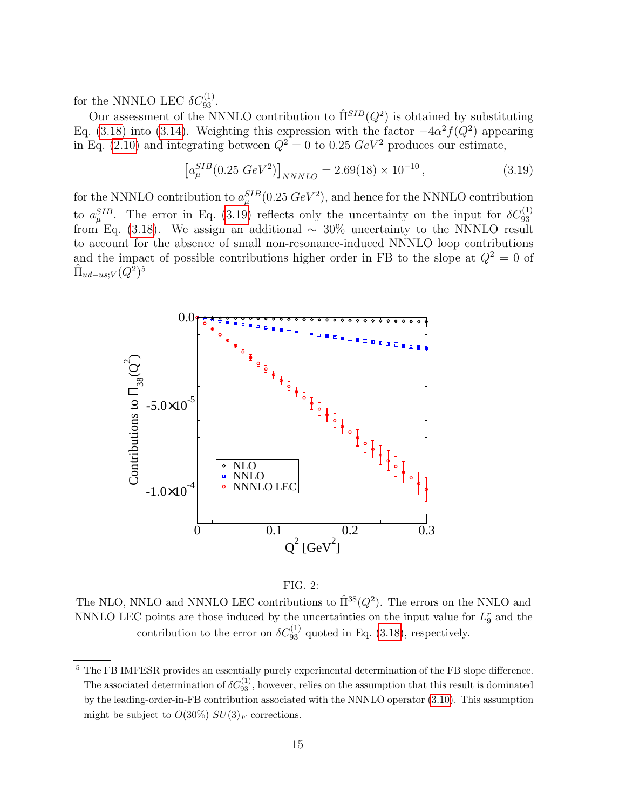for the NNNLO LEC  $\delta C_{93}^{(1)}$ .

Our assessment of the NNNLO contribution to  $\hat{\Pi}^{SIB}(Q^2)$  is obtained by substituting Eq. [\(3.18\)](#page-13-0) into [\(3.14\)](#page-12-1). Weighting this expression with the factor  $-4\alpha^2 f(Q^2)$  appearing in Eq. [\(2.10\)](#page-5-0) and integrating between  $Q^2 = 0$  to 0.25  $GeV^2$  produces our estimate,

<span id="page-14-0"></span>
$$
\left[a_{\mu}^{SIB}(0.25\ GeV^2)\right]_{NNNLO} = 2.69(18) \times 10^{-10},\tag{3.19}
$$

for the NNNLO contribution to  $a_{\mu}^{SIB}(0.25 \ GeV^2)$ , and hence for the NNNLO contribution to  $a_{\mu}^{SIB}$ . The error in Eq. [\(3.19\)](#page-14-0) reflects only the uncertainty on the input for  $\delta C_{93}^{(1)}$  from Eq. [\(3.18\)](#page-13-0). We assign an additional ~ 30% uncertainty to the NNNLO result to account for the absence of small non-resonance-induced NNNLO loop contributions and the impact of possible contributions higher order in FB to the slope at  $Q^2 = 0$  of  $\hat{\Pi}_{ud-us;V}(Q^{\tilde{2}})^5$ 



<span id="page-14-1"></span>

The NLO, NNLO and NNNLO LEC contributions to  $\hat{\Pi}^{38}(Q^2)$ . The errors on the NNLO and NNNLO LEC points are those induced by the uncertainties on the input value for  $L_9^r$  and the contribution to the error on  $\delta C_{93}^{(1)}$  quoted in Eq. [\(3.18\)](#page-13-0), respectively.

<sup>5</sup> The FB IMFESR provides an essentially purely experimental determination of the FB slope difference. The associated determination of  $\delta C_{93}^{(1)}$ , however, relies on the assumption that this result is dominated by the leading-order-in-FB contribution associated with the NNNLO operator [\(3.10\)](#page-11-0). This assumption might be subject to  $O(30\%) SU(3)_F$  corrections.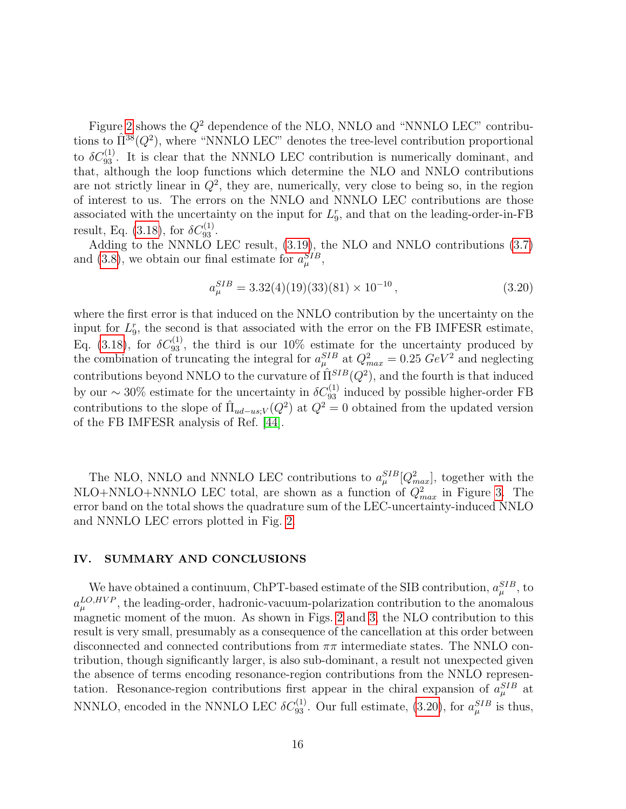Figure [2](#page-14-1) shows the  $Q^2$  dependence of the NLO, NNLO and "NNNLO LEC" contributions to  $\hat{\Pi}^{38}(Q^2)$ , where "NNNLO LEC" denotes the tree-level contribution proportional to  $\delta C_{93}^{(1)}$ . It is clear that the NNNLO LEC contribution is numerically dominant, and that, although the loop functions which determine the NLO and NNLO contributions are not strictly linear in  $Q^2$ , they are, numerically, very close to being so, in the region of interest to us. The errors on the NNLO and NNNLO LEC contributions are those associated with the uncertainty on the input for  $L_9^r$ , and that on the leading-order-in-FB result, Eq. [\(3.18\)](#page-13-0), for  $\delta C_{93}^{(1)}$ .

Adding to the NNNLO LEC result, [\(3.19\)](#page-14-0), the NLO and NNLO contributions [\(3.7\)](#page-9-0) and [\(3.8\)](#page-9-0), we obtain our final estimate for  $a_{\mu}^{SIB}$ ,

<span id="page-15-1"></span>
$$
a_{\mu}^{SIB} = 3.32(4)(19)(33)(81) \times 10^{-10}, \qquad (3.20)
$$

where the first error is that induced on the NNLO contribution by the uncertainty on the input for  $L_9^r$ , the second is that associated with the error on the FB IMFESR estimate, Eq. [\(3.18\)](#page-13-0), for  $\delta C_{93}^{(1)}$ , the third is our 10% estimate for the uncertainty produced by the combination of truncating the integral for  $a_{\mu}^{SIB}$  at  $Q_{max}^2 = 0.25 \; GeV^2$  and neglecting contributions beyond NNLO to the curvature of  $\hat{\Pi}^{SIB}(Q^2)$ , and the fourth is that induced by our ~ 30% estimate for the uncertainty in  $\delta C_{93}^{(1)}$  induced by possible higher-order FB contributions to the slope of  $\hat{\Pi}_{ud-us;V}(Q^2)$  at  $Q^2=0$  obtained from the updated version of the FB IMFESR analysis of Ref. [\[44\]](#page-19-6).

The NLO, NNLO and NNNLO LEC contributions to  $a_\mu^{SIB}[Q_{max}^2]$ , together with the NLO+NNLO+NNNLO LEC total, are shown as a function of  $Q_{max}^2$  in Figure [3.](#page-16-0) The error band on the total shows the quadrature sum of the LEC-uncertainty-induced NNLO and NNNLO LEC errors plotted in Fig. [2.](#page-14-1)

#### <span id="page-15-0"></span>IV. SUMMARY AND CONCLUSIONS

We have obtained a continuum, ChPT-based estimate of the SIB contribution,  $a_{\mu}^{SIB}$ , to  $a_{\mu}^{LO,HVP}$ , the leading-order, hadronic-vacuum-polarization contribution to the anomalous magnetic moment of the muon. As shown in Figs. [2](#page-14-1) and [3,](#page-16-0) the NLO contribution to this result is very small, presumably as a consequence of the cancellation at this order between disconnected and connected contributions from  $\pi\pi$  intermediate states. The NNLO contribution, though significantly larger, is also sub-dominant, a result not unexpected given the absence of terms encoding resonance-region contributions from the NNLO representation. Resonance-region contributions first appear in the chiral expansion of  $a_{\mu}^{SIB}$  at NNNLO, encoded in the NNNLO LEC  $\delta C_{93}^{(1)}$ . Our full estimate, [\(3.20\)](#page-15-1), for  $a_\mu^{SIB}$  is thus,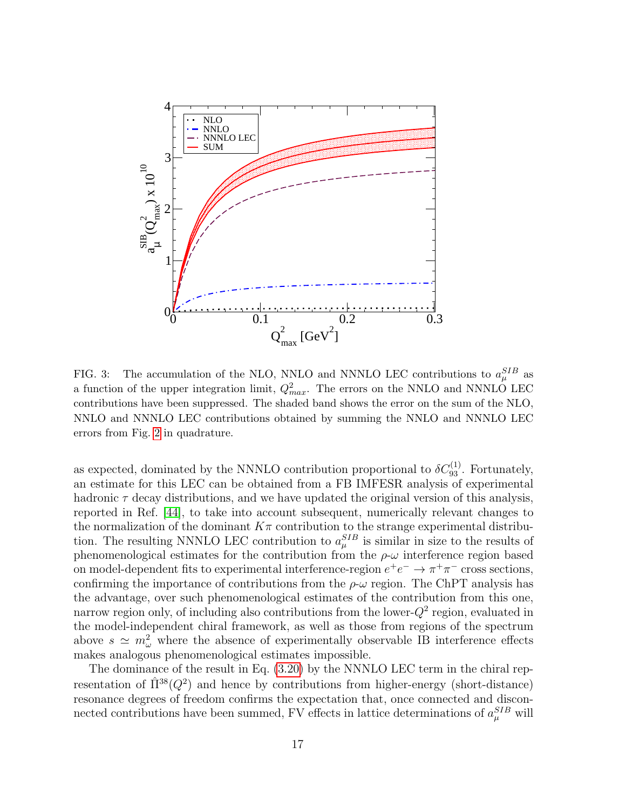

<span id="page-16-0"></span>FIG. 3: The accumulation of the NLO, NNLO and NNNLO LEC contributions to  $a_{\mu}^{SIB}$  as a function of the upper integration limit,  $Q_{max}^2$ . The errors on the NNLO and NNNLO LEC contributions have been suppressed. The shaded band shows the error on the sum of the NLO, NNLO and NNNLO LEC contributions obtained by summing the NNLO and NNNLO LEC errors from Fig. [2](#page-14-1) in quadrature.

as expected, dominated by the NNNLO contribution proportional to  $\delta C_{93}^{(1)}$ . Fortunately, an estimate for this LEC can be obtained from a FB IMFESR analysis of experimental hadronic  $\tau$  decay distributions, and we have updated the original version of this analysis, reported in Ref. [\[44\]](#page-19-6), to take into account subsequent, numerically relevant changes to the normalization of the dominant  $K\pi$  contribution to the strange experimental distribution. The resulting NNNLO LEC contribution to  $a_{\mu}^{SIB}$  is similar in size to the results of phenomenological estimates for the contribution from the  $\rho$ - $\omega$  interference region based on model-dependent fits to experimental interference-region  $e^+e^- \to \pi^+\pi^-$  cross sections, confirming the importance of contributions from the  $\rho-\omega$  region. The ChPT analysis has the advantage, over such phenomenological estimates of the contribution from this one, narrow region only, of including also contributions from the lower- $Q^2$  region, evaluated in the model-independent chiral framework, as well as those from regions of the spectrum above  $s \simeq m_\omega^2$  where the absence of experimentally observable IB interference effects makes analogous phenomenological estimates impossible.

The dominance of the result in Eq. [\(3.20\)](#page-15-1) by the NNNLO LEC term in the chiral representation of  $\hat{\Pi}^{38}(Q^2)$  and hence by contributions from higher-energy (short-distance) resonance degrees of freedom confirms the expectation that, once connected and disconnected contributions have been summed, FV effects in lattice determinations of  $a_\mu^{SIB}$  will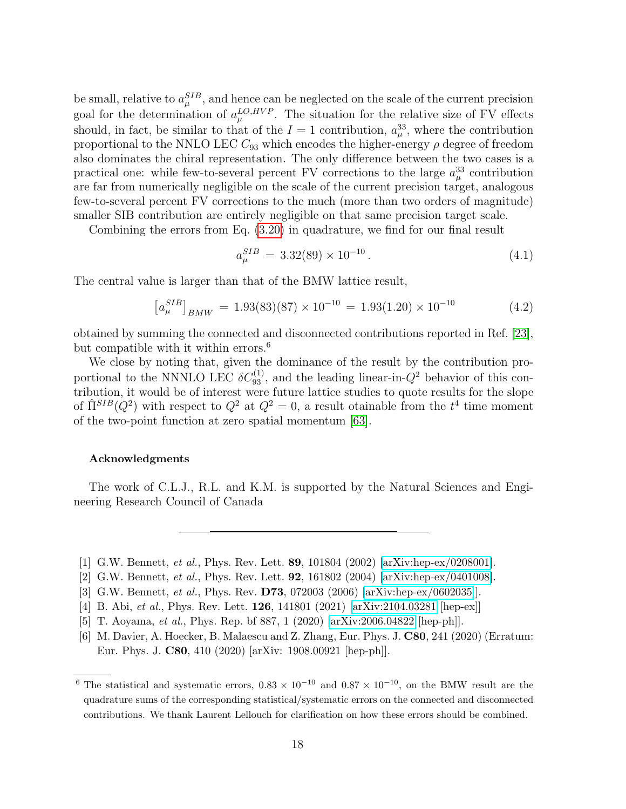be small, relative to  $a_{\mu}^{SIB}$ , and hence can be neglected on the scale of the current precision goal for the determination of  $a_{\mu}^{LO,HVP}$ . The situation for the relative size of FV effects should, in fact, be similar to that of the  $I = 1$  contribution,  $a_{\mu}^{33}$ , where the contribution proportional to the NNLO LEC  $C_{93}$  which encodes the higher-energy  $\rho$  degree of freedom also dominates the chiral representation. The only difference between the two cases is a practical one: while few-to-several percent FV corrections to the large  $a_{\mu}^{33}$  contribution are far from numerically negligible on the scale of the current precision target, analogous few-to-several percent FV corrections to the much (more than two orders of magnitude) smaller SIB contribution are entirely negligible on that same precision target scale.

Combining the errors from Eq. [\(3.20\)](#page-15-1) in quadrature, we find for our final result

$$
a_{\mu}^{SIB} = 3.32(89) \times 10^{-10} \,. \tag{4.1}
$$

The central value is larger than that of the BMW lattice result,

$$
\left[a_{\mu}^{SIB}\right]_{BMW} = 1.93(83)(87) \times 10^{-10} = 1.93(1.20) \times 10^{-10}
$$
 (4.2)

obtained by summing the connected and disconnected contributions reported in Ref. [\[23\]](#page-18-14), but compatible with it within errors.<sup>6</sup>

We close by noting that, given the dominance of the result by the contribution proportional to the NNNLO LEC  $\delta C_{93}^{(1)}$ , and the leading linear-in- $Q^2$  behavior of this contribution, it would be of interest were future lattice studies to quote results for the slope of  $\hat{\Pi}^{SIB}(Q^2)$  with respect to  $Q^2$  at  $Q^2 = 0$ , a result otainable from the  $t^4$  time moment of the two-point function at zero spatial momentum [\[63\]](#page-19-25).

#### Acknowledgments

The work of C.L.J., R.L. and K.M. is supported by the Natural Sciences and Engineering Research Council of Canada

- <span id="page-17-0"></span>[1] G.W. Bennett, et al., Phys. Rev. Lett. 89, 101804 (2002) [\[arXiv:hep-ex/0208001\]](http://arxiv.org/abs/hep-ex/0208001).
- [2] G.W. Bennett, et al., Phys. Rev. Lett. 92, 161802 (2004) [\[arXiv:hep-ex/0401008\]](http://arxiv.org/abs/hep-ex/0401008).
- <span id="page-17-1"></span>[3] G.W. Bennett, et al., Phys. Rev. D73, 072003 (2006) [\[arXiv:hep-ex/0602035\]](http://arxiv.org/abs/hep-ex/0602035)].
- <span id="page-17-2"></span>[4] B. Abi, et al., Phys. Rev. Lett. 126, 141801 (2021) [\[arXiv:2104.03281](http://arxiv.org/abs/2104.03281) [hep-ex]]
- <span id="page-17-3"></span>[5] T. Aoyama, et al., Phys. Rep. bf 887, 1 (2020) [\[arXiv:2006.04822](http://arxiv.org/abs/2006.04822) [hep-ph]].
- <span id="page-17-4"></span>[6] M. Davier, A. Hoecker, B. Malaescu and Z. Zhang, Eur. Phys. J. C80, 241 (2020) (Erratum: Eur. Phys. J. C80, 410 (2020) [arXiv: 1908.00921 [hep-ph]].

<sup>&</sup>lt;sup>6</sup> The statistical and systematic errors,  $0.83 \times 10^{-10}$  and  $0.87 \times 10^{-10}$ , on the BMW result are the quadrature sums of the corresponding statistical/systematic errors on the connected and disconnected contributions. We thank Laurent Lellouch for clarification on how these errors should be combined.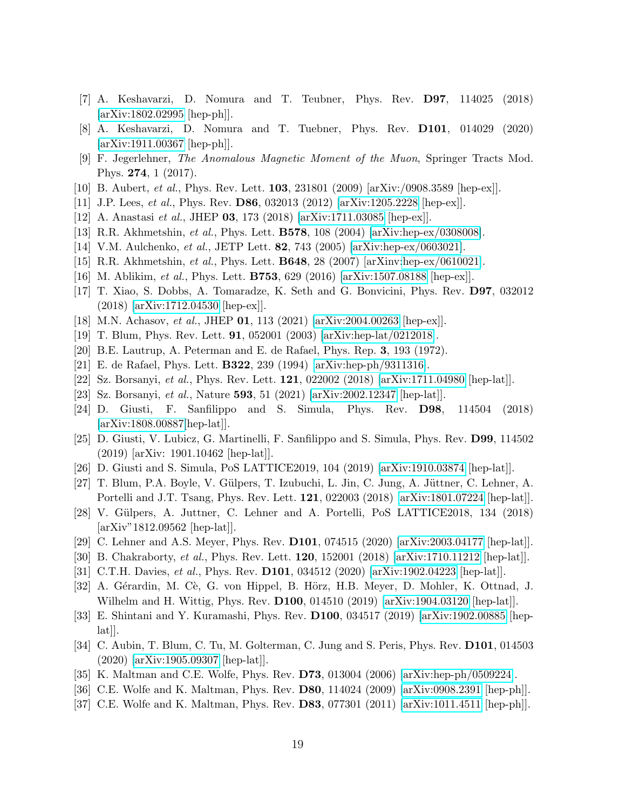- <span id="page-18-25"></span>[7] A. Keshavarzi, D. Nomura and T. Teubner, Phys. Rev. D97, 114025 (2018) [\[arXiv:1802.02995](http://arxiv.org/abs/1802.02995) [hep-ph]].
- <span id="page-18-9"></span>[8] A. Keshavarzi, D. Nomura and T. Tuebner, Phys. Rev. D101, 014029 (2020) [\[arXiv:1911.00367](http://arxiv.org/abs/1911.00367) [hep-ph]].
- <span id="page-18-0"></span>[9] F. Jegerlehner, The Anomalous Magnetic Moment of the Muon, Springer Tracts Mod. Phys. 274, 1 (2017).
- <span id="page-18-2"></span><span id="page-18-1"></span>[10] B. Aubert, et al., Phys. Rev. Lett. 103, 231801 (2009) [arXiv:/0908.3589 [hep-ex]].
- [11] J.P. Lees, et al., Phys. Rev. D86, 032013 (2012) [\[arXiv:1205.2228](http://arxiv.org/abs/1205.2228) [hep-ex]].
- <span id="page-18-3"></span>[12] A. Anastasi et al., JHEP 03, 173 (2018) [\[arXiv:1711.03085](http://arxiv.org/abs/1711.03085) [hep-ex]].
- <span id="page-18-4"></span>[13] R.R. Akhmetshin, et al., Phys. Lett. B578, 108 (2004) [\[arXiv:hep-ex/0308008\]](http://arxiv.org/abs/hep-ex/0308008).
- [14] V.M. Aulchenko, et al., JETP Lett. 82, 743 (2005) [\[arXiv:hep-ex/0603021\]](http://arxiv.org/abs/hep-ex/0603021).
- <span id="page-18-5"></span>[15] R.R. Akhmetshin, et al., Phys. Lett. B648, 28 (2007) [arXinv[:hep-ex/0610021\]](http://arxiv.org/abs/hep-ex/0610021).
- <span id="page-18-6"></span>[16] M. Ablikim, et al., Phys. Lett. B753, 629 (2016) [\[arXiv:1507.08188](http://arxiv.org/abs/1507.08188) [hep-ex]].
- <span id="page-18-7"></span>[17] T. Xiao, S. Dobbs, A. Tomaradze, K. Seth and G. Bonvicini, Phys. Rev. D97, 032012 (2018) [\[arXiv:1712.04530](http://arxiv.org/abs/1712.04530) [hep-ex]].
- <span id="page-18-8"></span>[18] M.N. Achasov, et al., JHEP 01, 113 (2021) [\[arXiv:2004.00263](http://arxiv.org/abs/2004.00263) [hep-ex]].
- <span id="page-18-10"></span>[19] T. Blum, Phys. Rev. Lett. 91, 052001 (2003) [\[arXiv:hep-lat/0212018\]](http://arxiv.org/abs/hep-lat/0212018).
- <span id="page-18-11"></span>[20] B.E. Lautrup, A. Peterman and E. de Rafael, Phys. Rep. 3, 193 (1972).
- <span id="page-18-12"></span>[21] E. de Rafael, Phys. Lett. B322, 239 (1994) [\[arXiv:hep-ph/9311316\]](http://arxiv.org/abs/hep-ph/9311316).
- <span id="page-18-13"></span>[22] Sz. Borsanyi, et al., Phys. Rev. Lett. 121, 022002 (2018) [\[arXiv:1711.04980](http://arxiv.org/abs/1711.04980) [hep-lat]].
- <span id="page-18-14"></span>[23] Sz. Borsanyi, et al., Nature 593, 51 (2021) [\[arXiv:2002.12347](http://arxiv.org/abs/2002.12347) [hep-lat]].
- <span id="page-18-15"></span>[24] D. Giusti, F. Sanfilippo and S. Simula, Phys. Rev. D98, 114504 (2018) [\[arXiv:1808.00887\[](http://arxiv.org/abs/1808.00887)hep-lat]].
- <span id="page-18-24"></span>[25] D. Giusti, V. Lubicz, G. Martinelli, F. Sanfilippo and S. Simula, Phys. Rev. D99, 114502 (2019) [arXiv: 1901.10462 [hep-lat]].
- <span id="page-18-16"></span>[26] D. Giusti and S. Simula, PoS LATTICE2019, 104 (2019) [\[arXiv:1910.03874](http://arxiv.org/abs/1910.03874) [hep-lat]].
- <span id="page-18-17"></span>[27] T. Blum, P.A. Boyle, V. Gülpers, T. Izubuchi, L. Jin, C. Jung, A. Jüttner, C. Lehner, A. Portelli and J.T. Tsang, Phys. Rev. Lett. 121, 022003 (2018) [\[arXiv:1801.07224](http://arxiv.org/abs/1801.07224) [hep-lat]].
- [28] V. Gülpers, A. Juttner, C. Lehner and A. Portelli, PoS LATTICE2018, 134 (2018) [arXiv"1812.09562 [hep-lat]].
- <span id="page-18-18"></span>[29] C. Lehner and A.S. Meyer, Phys. Rev. D101, 074515 (2020) [\[arXiv:2003.04177](http://arxiv.org/abs/2003.04177) [hep-lat]].
- <span id="page-18-19"></span>[30] B. Chakraborty, et al., Phys. Rev. Lett. 120, 152001 (2018) [\[arXiv:1710.11212](http://arxiv.org/abs/1710.11212) [hep-lat]].
- <span id="page-18-20"></span>[31] C.T.H. Davies, et al., Phys. Rev. **D101**, 034512 (2020) [\[arXiv:1902.04223](http://arxiv.org/abs/1902.04223) [hep-lat]].
- <span id="page-18-21"></span>[32] A. Gérardin, M. Cè, G. von Hippel, B. Hörz, H.B. Meyer, D. Mohler, K. Ottnad, J. Wilhelm and H. Wittig, Phys. Rev. D100, 014510 (2019) [\[arXiv:1904.03120](http://arxiv.org/abs/1904.03120) [hep-lat]].
- <span id="page-18-22"></span>[33] E. Shintani and Y. Kuramashi, Phys. Rev. D100, 034517 (2019) [\[arXiv:1902.00885](http://arxiv.org/abs/1902.00885) [hep- $|a t|$ .
- <span id="page-18-23"></span>[34] C. Aubin, T. Blum, C. Tu, M. Golterman, C. Jung and S. Peris, Phys. Rev. D101, 014503 (2020) [\[arXiv:1905.09307](http://arxiv.org/abs/1905.09307) [hep-lat]].
- <span id="page-18-27"></span>[35] K. Maltman and C.E. Wolfe, Phys. Rev. D73, 013004 (2006) [\[arXiv:hep-ph/0509224\]](http://arxiv.org/abs/hep-ph/0509224).
- <span id="page-18-26"></span>[36] C.E. Wolfe and K. Maltman, Phys. Rev. D80, 114024 (2009) [\[arXiv:0908.2391](http://arxiv.org/abs/0908.2391) [hep-ph]].
- <span id="page-18-28"></span>[37] C.E. Wolfe and K. Maltman, Phys. Rev. D83, 077301 (2011) [\[arXiv:1011.4511](http://arxiv.org/abs/1011.4511) [hep-ph]].